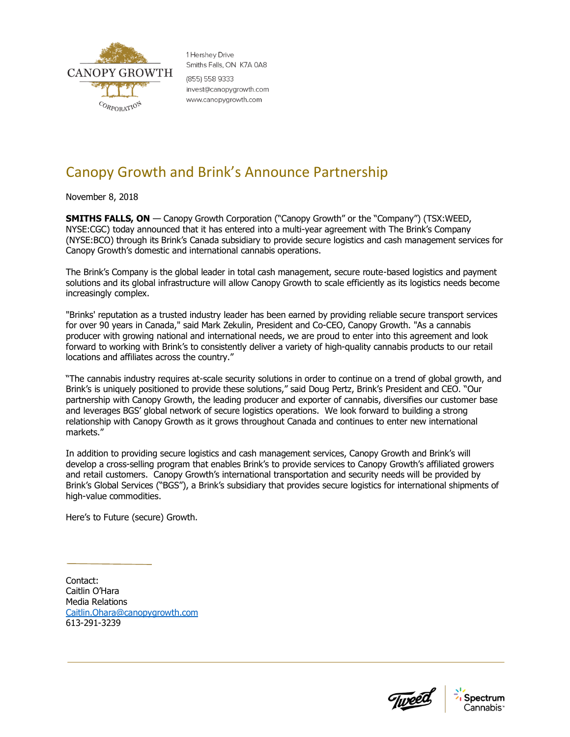

1 Hershev Drive Smiths Falls, ON K7A 0A8 (855) 558 9333 invest@canopygrowth.com www.canopygrowth.com

## Canopy Growth and Brink's Announce Partnership

November 8, 2018

**SMITHS FALLS, ON** — Canopy Growth Corporation ("Canopy Growth" or the "Company") (TSX:WEED, NYSE:CGC) today announced that it has entered into a multi-year agreement with The Brink's Company (NYSE:BCO) through its Brink's Canada subsidiary to provide secure logistics and cash management services for Canopy Growth's domestic and international cannabis operations.

The Brink's Company is the global leader in total cash management, secure route-based logistics and payment solutions and its global infrastructure will allow Canopy Growth to scale efficiently as its logistics needs become increasingly complex.

"Brinks' reputation as a trusted industry leader has been earned by providing reliable secure transport services for over 90 years in Canada," said Mark Zekulin, President and Co-CEO, Canopy Growth. "As a cannabis producer with growing national and international needs, we are proud to enter into this agreement and look forward to working with Brink's to consistently deliver a variety of high-quality cannabis products to our retail locations and affiliates across the country."

"The cannabis industry requires at-scale security solutions in order to continue on a trend of global growth, and Brink's is uniquely positioned to provide these solutions," said Doug Pertz, Brink's President and CEO. "Our partnership with Canopy Growth, the leading producer and exporter of cannabis, diversifies our customer base and leverages BGS' global network of secure logistics operations. We look forward to building a strong relationship with Canopy Growth as it grows throughout Canada and continues to enter new international markets."

In addition to providing secure logistics and cash management services, Canopy Growth and Brink's will develop a cross-selling program that enables Brink's to provide services to Canopy Growth's affiliated growers and retail customers. Canopy Growth's international transportation and security needs will be provided by Brink's Global Services ("BGS"), a Brink's subsidiary that provides secure logistics for international shipments of high-value commodities.

Here's to Future (secure) Growth.

Contact: Caitlin O'Hara Media Relations [Caitlin.Ohara@canopygrowth.com](mailto:Caitlin.Ohara@canopygrowth.com) 613-291-3239